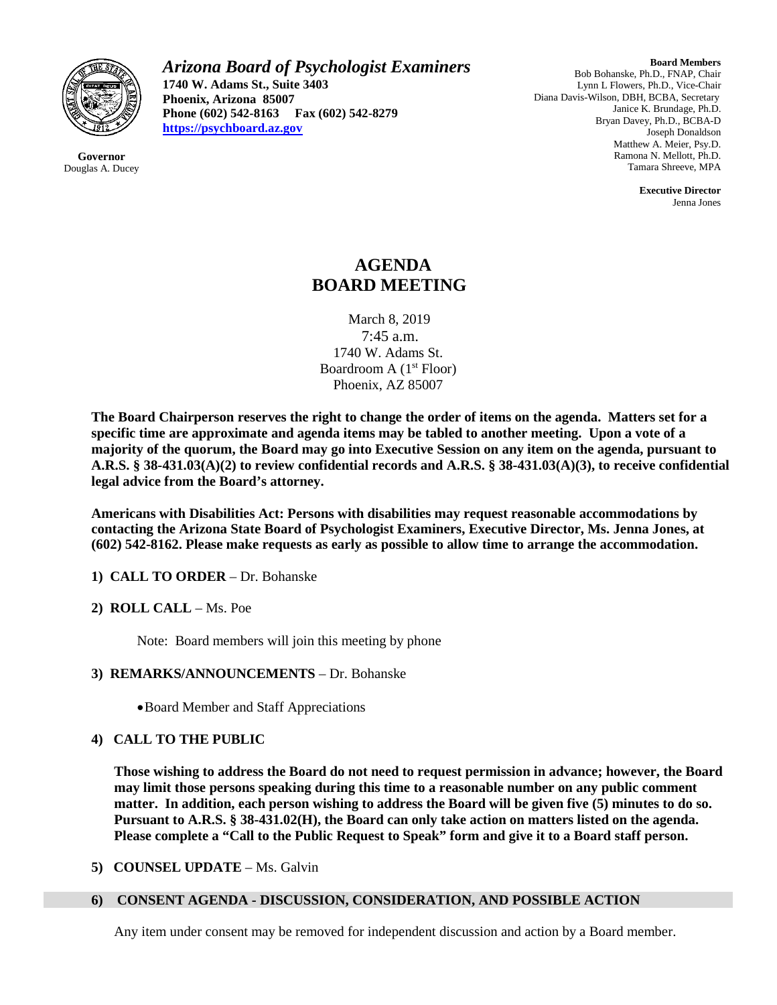

**Governor** Douglas A. Ducey *Arizona Board of Psychologist Examiners* **1740 W. Adams St., Suite 3403 Phoenix, Arizona 85007 Phone (602) 542-8163 Fax (602) 542-8279 [https://psychboard.az.gov](https://psychboard.az.gov/)**

**Board Members** Bob Bohanske, Ph.D., FNAP, Chair Lynn L Flowers, Ph.D., Vice-Chair Diana Davis-Wilson, DBH, BCBA, Secretary Janice K. Brundage, Ph.D. Bryan Davey, Ph.D., BCBA-D Joseph Donaldson Matthew A. Meier, Psy.D. Ramona N. Mellott, Ph.D. Tamara Shreeve, MPA

> **Executive Director** Jenna Jones

# **AGENDA BOARD MEETING**

March 8, 2019 7:45 a.m. 1740 W. Adams St. Boardroom A  $(1<sup>st</sup>$  Floor) Phoenix, AZ 85007

**The Board Chairperson reserves the right to change the order of items on the agenda. Matters set for a specific time are approximate and agenda items may be tabled to another meeting. Upon a vote of a majority of the quorum, the Board may go into Executive Session on any item on the agenda, pursuant to A.R.S. § 38-431.03(A)(2) to review confidential records and A.R.S. § 38-431.03(A)(3), to receive confidential legal advice from the Board's attorney.**

**Americans with Disabilities Act: Persons with disabilities may request reasonable accommodations by contacting the Arizona State Board of Psychologist Examiners, Executive Director, Ms. Jenna Jones, at (602) 542-8162. Please make requests as early as possible to allow time to arrange the accommodation.**

- **1) CALL TO ORDER** Dr. Bohanske
- **2) ROLL CALL** Ms. Poe

Note: Board members will join this meeting by phone

- **3) REMARKS/ANNOUNCEMENTS** Dr. Bohanske
	- •Board Member and Staff Appreciations

# **4) CALL TO THE PUBLIC**

**Those wishing to address the Board do not need to request permission in advance; however, the Board may limit those persons speaking during this time to a reasonable number on any public comment matter. In addition, each person wishing to address the Board will be given five (5) minutes to do so. Pursuant to A.R.S. § 38-431.02(H), the Board can only take action on matters listed on the agenda. Please complete a "Call to the Public Request to Speak" form and give it to a Board staff person.**

**5) COUNSEL UPDATE** – Ms. Galvin

#### **6) CONSENT AGENDA - DISCUSSION, CONSIDERATION, AND POSSIBLE ACTION**

Any item under consent may be removed for independent discussion and action by a Board member.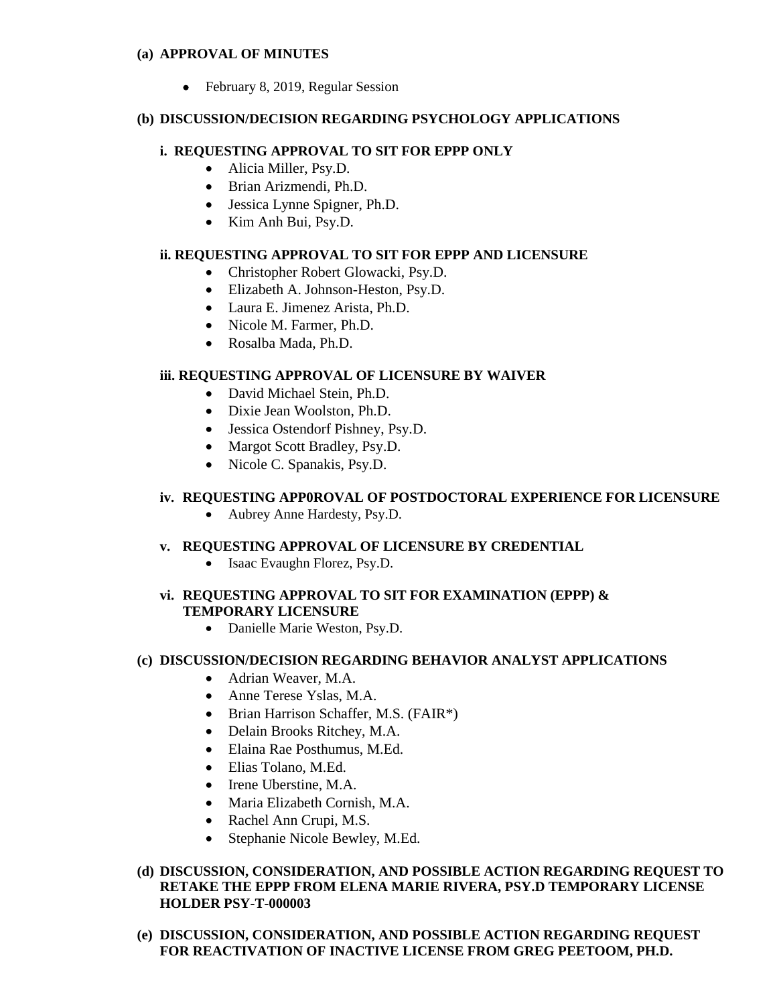#### **(a) APPROVAL OF MINUTES**

• February 8, 2019, Regular Session

## **(b) DISCUSSION/DECISION REGARDING PSYCHOLOGY APPLICATIONS**

## **i. REQUESTING APPROVAL TO SIT FOR EPPP ONLY**

- Alicia Miller, Psy.D.
- Brian Arizmendi, Ph.D.
- Jessica Lynne Spigner, Ph.D.
- Kim Anh Bui, Psy.D.

# **ii. REQUESTING APPROVAL TO SIT FOR EPPP AND LICENSURE**

- Christopher Robert Glowacki, Psy.D.
- Elizabeth A. Johnson-Heston, Psy.D.
- Laura E. Jimenez Arista, Ph.D.
- Nicole M. Farmer, Ph.D.
- Rosalba Mada, Ph.D.

# **iii. REQUESTING APPROVAL OF LICENSURE BY WAIVER**

- David Michael Stein, Ph.D.
- Dixie Jean Woolston, Ph.D.
- Jessica Ostendorf Pishney, Psy.D.
- Margot Scott Bradley, Psy.D.
- Nicole C. Spanakis, Psy.D.

## **iv. REQUESTING APP0ROVAL OF POSTDOCTORAL EXPERIENCE FOR LICENSURE**

• Aubrey Anne Hardesty, Psy.D.

# **v. REQUESTING APPROVAL OF LICENSURE BY CREDENTIAL**

• Isaac Evaughn Florez, Psy.D.

# **vi. REQUESTING APPROVAL TO SIT FOR EXAMINATION (EPPP) & TEMPORARY LICENSURE**

• Danielle Marie Weston, Psy.D.

#### **(c) DISCUSSION/DECISION REGARDING BEHAVIOR ANALYST APPLICATIONS**

- Adrian Weaver, M.A.
- Anne Terese Yslas, M.A.
- Brian Harrison Schaffer, M.S. (FAIR\*)
- Delain Brooks Ritchey, M.A.
- Elaina Rae Posthumus, M.Ed.
- Elias Tolano, M.Ed.
- Irene Uberstine, M.A.
- Maria Elizabeth Cornish, M.A.
- Rachel Ann Crupi, M.S.
- Stephanie Nicole Bewley, M.Ed.

## **(d) DISCUSSION, CONSIDERATION, AND POSSIBLE ACTION REGARDING REQUEST TO RETAKE THE EPPP FROM ELENA MARIE RIVERA, PSY.D TEMPORARY LICENSE HOLDER PSY-T-000003**

**(e) DISCUSSION, CONSIDERATION, AND POSSIBLE ACTION REGARDING REQUEST FOR REACTIVATION OF INACTIVE LICENSE FROM GREG PEETOOM, PH.D.**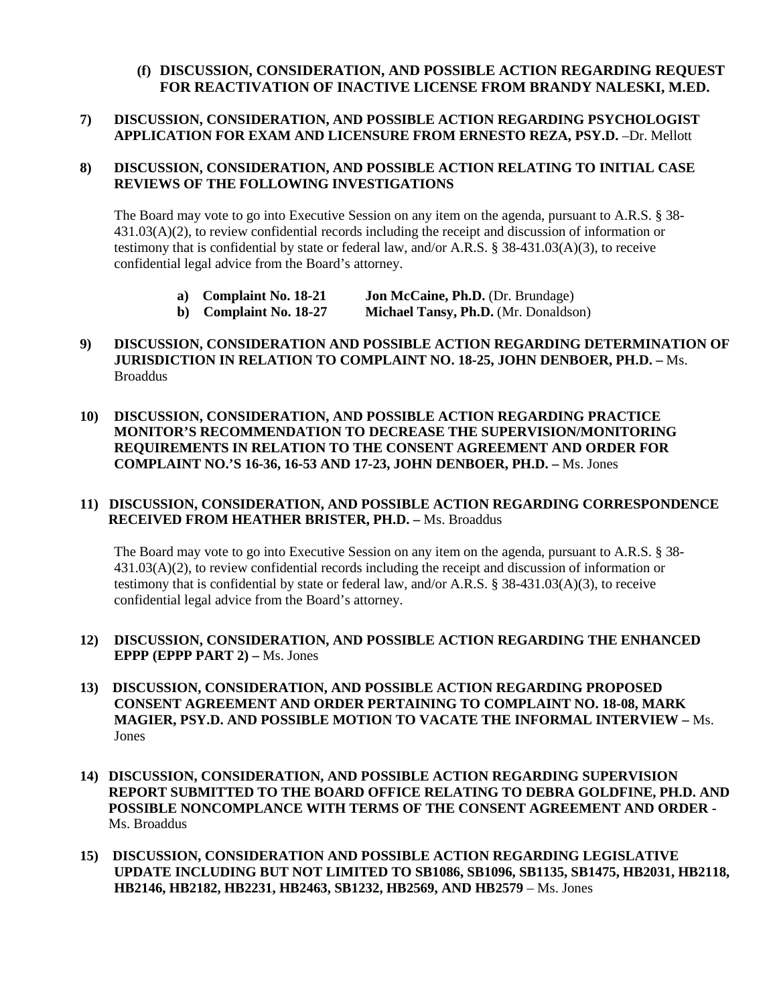## **(f) DISCUSSION, CONSIDERATION, AND POSSIBLE ACTION REGARDING REQUEST FOR REACTIVATION OF INACTIVE LICENSE FROM BRANDY NALESKI, M.ED.**

### **7) DISCUSSION, CONSIDERATION, AND POSSIBLE ACTION REGARDING PSYCHOLOGIST APPLICATION FOR EXAM AND LICENSURE FROM ERNESTO REZA, PSY.D.** –Dr. Mellott

#### **8) DISCUSSION, CONSIDERATION, AND POSSIBLE ACTION RELATING TO INITIAL CASE REVIEWS OF THE FOLLOWING INVESTIGATIONS**

The Board may vote to go into Executive Session on any item on the agenda, pursuant to A.R.S. § 38- 431.03(A)(2), to review confidential records including the receipt and discussion of information or testimony that is confidential by state or federal law, and/or A.R.S. § 38-431.03(A)(3), to receive confidential legal advice from the Board's attorney.

**a) Complaint No. 18-21 Jon McCaine, Ph.D.** (Dr. Brundage)

**b) Complaint No. 18-27 Michael Tansy, Ph.D.** (Mr. Donaldson)

- **9) DISCUSSION, CONSIDERATION AND POSSIBLE ACTION REGARDING DETERMINATION OF JURISDICTION IN RELATION TO COMPLAINT NO. 18-25, JOHN DENBOER, PH.D. –** Ms. Broaddus
- **10) DISCUSSION, CONSIDERATION, AND POSSIBLE ACTION REGARDING PRACTICE MONITOR'S RECOMMENDATION TO DECREASE THE SUPERVISION/MONITORING REQUIREMENTS IN RELATION TO THE CONSENT AGREEMENT AND ORDER FOR COMPLAINT NO.'S 16-36, 16-53 AND 17-23, JOHN DENBOER, PH.D. –** Ms. Jones

#### **11) DISCUSSION, CONSIDERATION, AND POSSIBLE ACTION REGARDING CORRESPONDENCE RECEIVED FROM HEATHER BRISTER, PH.D. –** Ms. Broaddus

The Board may vote to go into Executive Session on any item on the agenda, pursuant to A.R.S. § 38- 431.03(A)(2), to review confidential records including the receipt and discussion of information or testimony that is confidential by state or federal law, and/or A.R.S. § 38-431.03(A)(3), to receive confidential legal advice from the Board's attorney.

- **12) DISCUSSION, CONSIDERATION, AND POSSIBLE ACTION REGARDING THE ENHANCED EPPP (EPPP PART 2) –** Ms. Jones
- **13) DISCUSSION, CONSIDERATION, AND POSSIBLE ACTION REGARDING PROPOSED CONSENT AGREEMENT AND ORDER PERTAINING TO COMPLAINT NO. 18-08, MARK MAGIER, PSY.D. AND POSSIBLE MOTION TO VACATE THE INFORMAL INTERVIEW –** Ms. Jones
- **14) DISCUSSION, CONSIDERATION, AND POSSIBLE ACTION REGARDING SUPERVISION REPORT SUBMITTED TO THE BOARD OFFICE RELATING TO DEBRA GOLDFINE, PH.D. AND POSSIBLE NONCOMPLANCE WITH TERMS OF THE CONSENT AGREEMENT AND ORDER -** Ms. Broaddus
- **15) DISCUSSION, CONSIDERATION AND POSSIBLE ACTION REGARDING LEGISLATIVE UPDATE INCLUDING BUT NOT LIMITED TO SB1086, SB1096, SB1135, SB1475, HB2031, HB2118, HB2146, HB2182, HB2231, HB2463, SB1232, HB2569, AND HB2579** – Ms. Jones